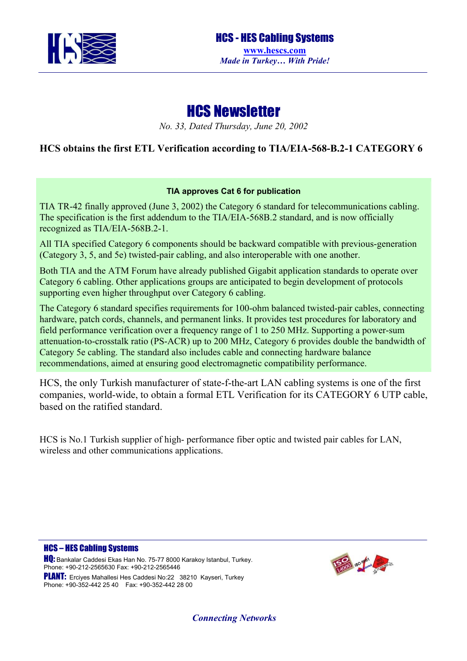

# HCS Newsletter

*No. 33, Dated Thursday, June 20, 2002* 

## **HCS obtains the first ETL Verification according to TIA/EIA-568-B.2-1 CATEGORY 6**

### **TIA approves Cat 6 for publication**

TIA TR-42 finally approved (June 3, 2002) the Category 6 standard for telecommunications cabling. The specification is the first addendum to the TIA/EIA-568B.2 standard, and is now officially recognized as TIA/EIA-568B.2-1.

All TIA specified Category 6 components should be backward compatible with previous-generation (Category 3, 5, and 5e) twisted-pair cabling, and also interoperable with one another.

Both TIA and the ATM Forum have already published Gigabit application standards to operate over Category 6 cabling. Other applications groups are anticipated to begin development of protocols supporting even higher throughput over Category 6 cabling.

The Category 6 standard specifies requirements for 100-ohm balanced twisted-pair cables, connecting hardware, patch cords, channels, and permanent links. It provides test procedures for laboratory and field performance verification over a frequency range of 1 to 250 MHz. Supporting a power-sum attenuation-to-crosstalk ratio (PS-ACR) up to 200 MHz, Category 6 provides double the bandwidth of Category 5e cabling. The standard also includes cable and connecting hardware balance recommendations, aimed at ensuring good electromagnetic compatibility performance.

HCS, the only Turkish manufacturer of state-f-the-art LAN cabling systems is one of the first companies, world-wide, to obtain a formal ETL Verification for its CATEGORY 6 UTP cable, based on the ratified standard.

HCS is No.1 Turkish supplier of high- performance fiber optic and twisted pair cables for LAN, wireless and other communications applications.

#### HCS – HES Cabling Systems

**HQ:** Bankalar Caddesi Ekas Han No. 75-77 8000 Karakoy Istanbul, Turkey. Phone: +90-212-2565630 Fax: +90-212-2565446 PLANT: Ercives Mahallesi Hes Caddesi No:22 38210 Kayseri, Turkey Phone: +90-352-442 25 40 Fax: +90-352-442 28 00



*Connecting Networks*